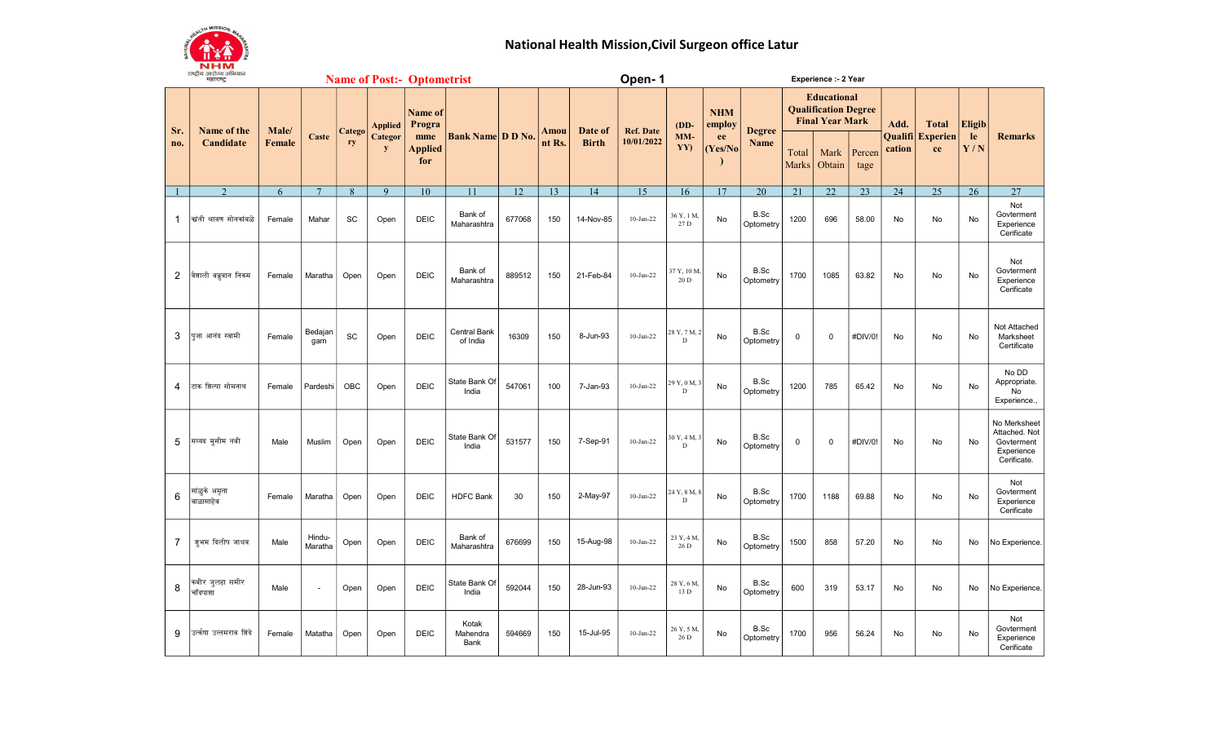

## National Health Mission,Civil Surgeon office Latur

| <b>CIANA OILCINA OILGIAIN</b><br><b>Name of Post:- Optometrist</b><br>महाराष्ट्र |                            |               |                   |              |                                |                                                   | Open-1                    |        |        |                                 | Experience :- 2 Year           |                        |                                                     |                              |                                                                             |                |                 |           |                               |           |                                                                          |
|----------------------------------------------------------------------------------|----------------------------|---------------|-------------------|--------------|--------------------------------|---------------------------------------------------|---------------------------|--------|--------|---------------------------------|--------------------------------|------------------------|-----------------------------------------------------|------------------------------|-----------------------------------------------------------------------------|----------------|-----------------|-----------|-------------------------------|-----------|--------------------------------------------------------------------------|
| Sr.                                                                              | Name of the<br>Candidate   | Male/         |                   | Catego<br>ry | <b>Applied</b><br>Categor<br>y | Name of<br>Progra<br>mme<br><b>Applied</b><br>for | <b>Bank Name D D No.</b>  |        |        | Amou<br>Date of<br><b>Birth</b> | <b>Ref. Date</b><br>10/01/2022 | $(DD-$<br>$MM-$<br>YY) | <b>NHM</b><br>employ<br>ee<br>(Yes/No)<br>$\lambda$ | <b>Degree</b><br><b>Name</b> | <b>Educational</b><br><b>Qualification Degree</b><br><b>Final Year Mark</b> |                |                 | Add.      | <b>Total</b>                  | Eligib    |                                                                          |
| no.                                                                              |                            | <b>Female</b> | Caste             |              |                                |                                                   |                           |        | nt Rs. |                                 |                                |                        |                                                     |                              | Total<br><b>Marks</b>                                                       | Mark<br>Obtain | Percen<br>tage  | cation    | <b>Qualifi</b> Experien<br>ce | le<br>Y/N | <b>Remarks</b>                                                           |
|                                                                                  | $\overline{2}$             | 6             | $\overline{7}$    | 8            | $\overline{9}$                 | 10                                                | 11                        | 12     | 13     | 14                              | 15                             | 16                     | 17                                                  | $\overline{20}$              | 21                                                                          | 22             | $\overline{23}$ | 24        | $\overline{25}$               | 26        | 27                                                                       |
| $\mathbf{1}$                                                                     | कांती श्रावण सोनकांबळे     | Female        | Mahar             | SC           | Open                           | <b>DEIC</b>                                       | Bank of<br>Maharashtra    | 677068 | 150    | 14-Nov-85                       | $10-Ian-22$                    | 36 Y, 1 M,<br>27 D     | No                                                  | B.Sc<br>Optometry            | 1200                                                                        | 696            | 58.00           | No        | No                            | No        | Not<br>Govterment<br>Experience<br>Cerificate                            |
| 2                                                                                | वैशाली बब्रुवान निकम       | Female        | Maratha           | Open         | Open                           | <b>DEIC</b>                                       | Bank of<br>Maharashtra    | 889512 | 150    | 21-Feb-84                       | $10-Jan-22$                    | 37 Y, 10 M.<br>$20$ D  | No                                                  | B.Sc<br>Optometry            | 1700                                                                        | 1085           | 63.82           | No        | No                            | No        | Not<br>Govterment<br>Experience<br>Cerificate                            |
| 3                                                                                | पूजा आनंद स्वामी           | Female        | Bedajan<br>gam    | SC           | Open                           | <b>DEIC</b>                                       | Central Bank<br>of India  | 16309  | 150    | 8-Jun-93                        | $10-Jan-22$                    | 28 Y, 7 M, 2<br>D      | No                                                  | B.Sc<br>Optometry            | $\mathbf 0$                                                                 | $\mathbf 0$    | #DIV/0!         | No        | <b>No</b>                     | No        | Not Attached<br>Marksheet<br>Certificate                                 |
| 4                                                                                | टाक शिल्पा सोमनाथ          | Female        | Pardeshi          | <b>OBC</b>   | Open                           | DEIC                                              | State Bank Of<br>India    | 547061 | 100    | 7-Jan-93                        | $10-Jan-22$                    | 29 Y, 0 M, 3<br>D      | No                                                  | B.Sc<br>Optometry            | 1200                                                                        | 785            | 65.42           | No        | No                            | <b>No</b> | No DD<br>Appropriate.<br>No<br>Experience.,                              |
| 5                                                                                | सय्यद मसीम नबी             | Male          | Muslim            | Open         | Open                           | <b>DEIC</b>                                       | State Bank Of<br>India    | 531577 | 150    | 7-Sep-91                        | $10-Jan-22$                    | 30 Y, 4 M, 3<br>D      | <b>No</b>                                           | B.Sc<br>Optometry            | $\mathbf 0$                                                                 | $\Omega$       | #DIV/0!         | <b>No</b> | No                            | No        | No Merksheet<br>Attached. Not<br>Govterment<br>Experience<br>Cerificate. |
| 6                                                                                | सांळुके अमृता<br>बाळासाहेब | Female        | Maratha           | Open         | Open                           | <b>DEIC</b>                                       | <b>HDFC Bank</b>          | 30     | 150    | 2-May-97                        | $10-Jan-22$                    | 24 Y, 8 M, 8<br>D      | <b>No</b>                                           | B.Sc<br>Optometry            | 1700                                                                        | 1188           | 69.88           | <b>No</b> | <b>No</b>                     | No        | Not<br>Govterment<br>Experience<br>Cerificate                            |
| $\overline{7}$                                                                   | शूभम दिलीप जाधव            | Male          | Hindu-<br>Maratha | Open         | Open                           | <b>DEIC</b>                                       | Bank of<br>Maharashtra    | 676699 | 150    | 15-Aug-98                       | $10-Jan-22$                    | 23 Y, 4 M,<br>26 D     | No                                                  | B.Sc<br>Optometry            | 1500                                                                        | 858            | 57.20           | No        | No                            | No        | No Experience.                                                           |
| 8                                                                                | कबीर जुलहा समीर<br>चॉदपाशा | Male          | $\blacksquare$    | Open         | Open                           | <b>DEIC</b>                                       | State Bank Of<br>India    | 592044 | 150    | 28-Jun-93                       | $10$ -Jan-22                   | 28 Y, 6 M,<br>13 D     | No                                                  | B.Sc<br>Optometry            | 600                                                                         | 319            | 53.17           | No        | No                            | No        | No Experience.                                                           |
| 9                                                                                | उर्ल्कषा उत्तमराव शिंदे    | Female        | Matatha           | Open         | Open                           | <b>DEIC</b>                                       | Kotak<br>Mahendra<br>Bank | 594669 | 150    | 15-Jul-95                       | $10-Jan-22$                    | 26 Y, 5 M,<br>26 D     | No                                                  | B.Sc<br>Optometry            | 1700                                                                        | 956            | 56.24           | No        | No                            | No        | Not<br>Govterment<br>Experience<br>Cerificate                            |